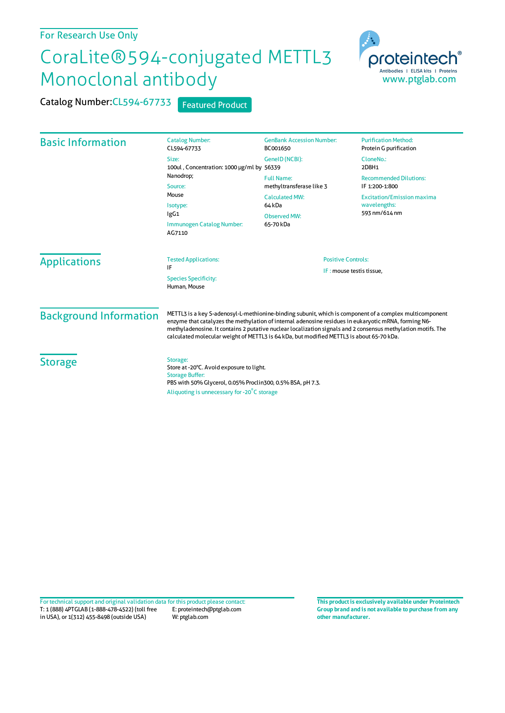## For Research Use Only

## CoraLite®594-conjugated METTL3 Monoclonal antibody

Catalog Number: CL594-67733 Featured Product



| <b>Basic Information</b>                    | <b>Catalog Number:</b><br>CL594-67733                                                                                                                                                                                                                                                                                                                                                                                       | <b>GenBank Accession Number:</b><br>BC001650                                                                  | <b>Purification Method:</b><br>Protein G purification              |
|---------------------------------------------|-----------------------------------------------------------------------------------------------------------------------------------------------------------------------------------------------------------------------------------------------------------------------------------------------------------------------------------------------------------------------------------------------------------------------------|---------------------------------------------------------------------------------------------------------------|--------------------------------------------------------------------|
|                                             | Size:<br>100ul, Concentration: 1000 µg/ml by 56339<br>Nanodrop;<br>Source:<br>Mouse<br>Isotype:<br>IgG1<br>Immunogen Catalog Number:<br>AG7110                                                                                                                                                                                                                                                                              | GenelD (NCBI):                                                                                                | CloneNo.:<br>2D8H1                                                 |
|                                             |                                                                                                                                                                                                                                                                                                                                                                                                                             | <b>Full Name:</b><br>methyltransferase like 3<br><b>Calculated MW:</b><br>64 kDa<br>Observed MW:<br>65-70 kDa | <b>Recommended Dilutions:</b><br>IF 1:200-1:800                    |
|                                             |                                                                                                                                                                                                                                                                                                                                                                                                                             |                                                                                                               | <b>Excitation/Emission maxima</b><br>wavelengths:<br>593 nm/614 nm |
|                                             |                                                                                                                                                                                                                                                                                                                                                                                                                             |                                                                                                               |                                                                    |
| <b>Species Specificity:</b><br>Human, Mouse |                                                                                                                                                                                                                                                                                                                                                                                                                             |                                                                                                               |                                                                    |
| <b>Background Information</b>               | METTL3 is a key S-adenosyl-L-methionine-binding subunit, which is component of a complex multicomponent<br>enzyme that catalyzes the methylation of internal adenosine residues in eukaryotic mRNA, forming N6-<br>methyladenosine. It contains 2 putative nuclear localization signals and 2 consensus methylation motifs. The<br>calculated molecular weight of METTL3 is 64 kDa, but modified METTL3 is about 65-70 kDa. |                                                                                                               |                                                                    |
| <b>Storage</b>                              | Storage:<br>Store at -20°C. Avoid exposure to light.<br><b>Storage Buffer:</b><br>PBS with 50% Glycerol, 0.05% Proclin300, 0.5% BSA, pH 7.3.<br>Aliquoting is unnecessary for -20°C storage                                                                                                                                                                                                                                 |                                                                                                               |                                                                    |

T: 1 (888) 4PTGLAB (1-888-478-4522) (toll free in USA), or 1(312) 455-8498 (outside USA) E: proteintech@ptglab.com W: ptglab.com Fortechnical support and original validation data forthis product please contact: **This productis exclusively available under Proteintech**

**Group brand and is not available to purchase from any other manufacturer.**